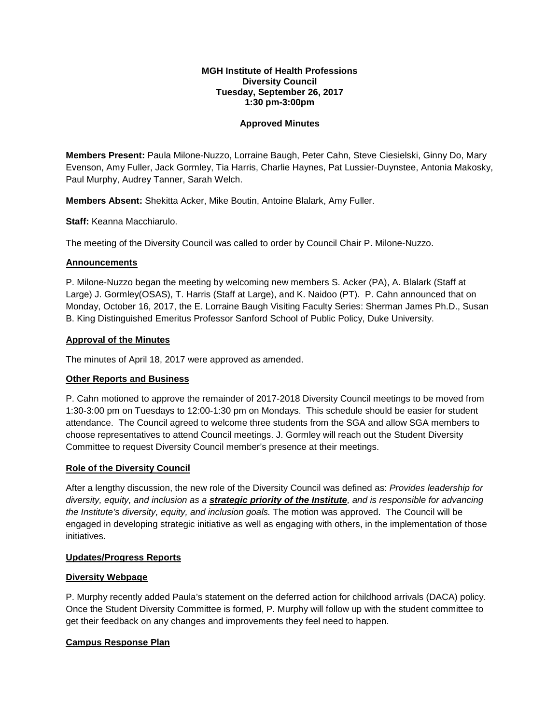#### **MGH Institute of Health Professions Diversity Council Tuesday, September 26, 2017 1:30 pm-3:00pm**

### **Approved Minutes**

**Members Present:** Paula Milone-Nuzzo, Lorraine Baugh, Peter Cahn, Steve Ciesielski, Ginny Do, Mary Evenson, Amy Fuller, Jack Gormley, Tia Harris, Charlie Haynes, Pat Lussier-Duynstee, Antonia Makosky, Paul Murphy, Audrey Tanner, Sarah Welch.

**Members Absent:** Shekitta Acker, Mike Boutin, Antoine Blalark, Amy Fuller.

**Staff:** Keanna Macchiarulo.

The meeting of the Diversity Council was called to order by Council Chair P. Milone-Nuzzo.

#### **Announcements**

P. Milone-Nuzzo began the meeting by welcoming new members S. Acker (PA), A. Blalark (Staff at Large) J. Gormley(OSAS), T. Harris (Staff at Large), and K. Naidoo (PT). P. Cahn announced that on Monday, October 16, 2017, the E. Lorraine Baugh Visiting Faculty Series: Sherman James Ph.D., Susan B. King Distinguished Emeritus Professor Sanford School of Public Policy, Duke University.

### **Approval of the Minutes**

The minutes of April 18, 2017 were approved as amended.

# **Other Reports and Business**

P. Cahn motioned to approve the remainder of 2017-2018 Diversity Council meetings to be moved from 1:30-3:00 pm on Tuesdays to 12:00-1:30 pm on Mondays. This schedule should be easier for student attendance. The Council agreed to welcome three students from the SGA and allow SGA members to choose representatives to attend Council meetings. J. Gormley will reach out the Student Diversity Committee to request Diversity Council member's presence at their meetings.

#### **Role of the Diversity Council**

After a lengthy discussion, the new role of the Diversity Council was defined as: *Provides leadership for diversity, equity, and inclusion as a strategic priority of the Institute, and is responsible for advancing the Institute's diversity, equity, and inclusion goals.* The motion was approved. The Council will be engaged in developing strategic initiative as well as engaging with others, in the implementation of those initiatives.

# **Updates/Progress Reports**

# **Diversity Webpage**

P. Murphy recently added Paula's statement on the deferred action for childhood arrivals (DACA) policy. Once the Student Diversity Committee is formed, P. Murphy will follow up with the student committee to get their feedback on any changes and improvements they feel need to happen.

# **Campus Response Plan**